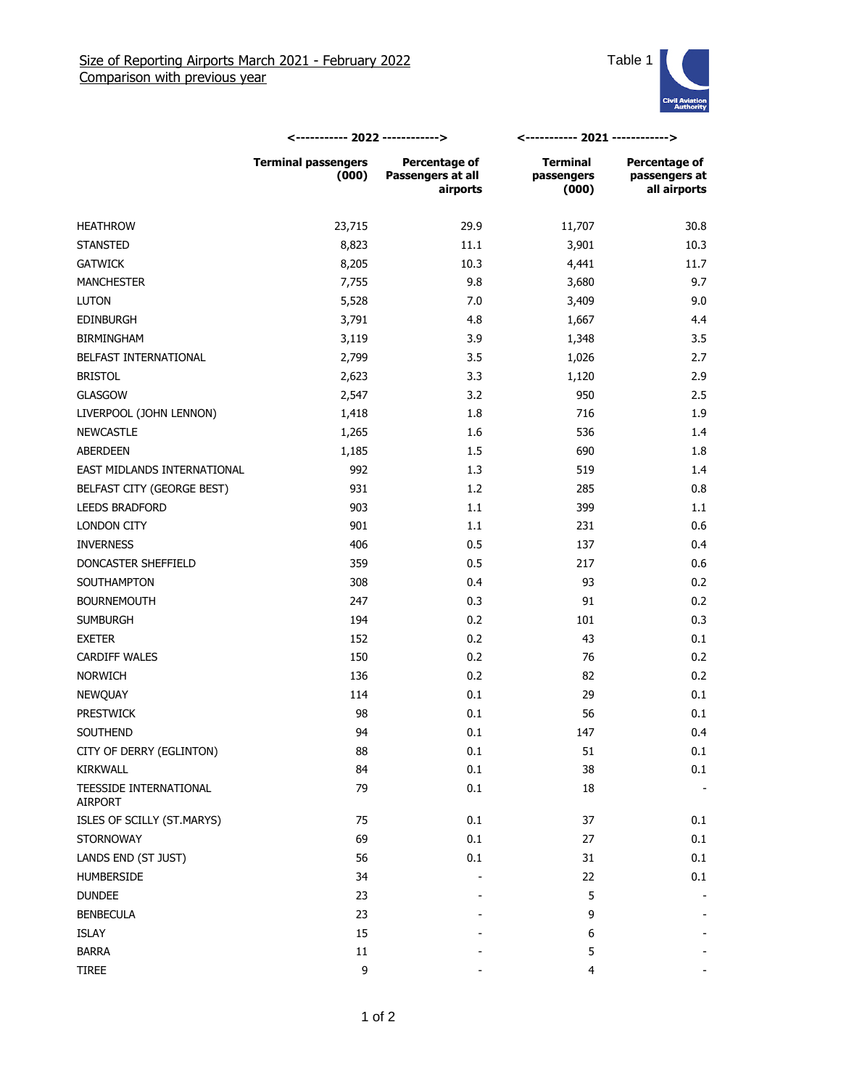

|                                   | <----------- 2022 ------------>     |                                                | <----------- 2021 ------------>        |                                                |
|-----------------------------------|-------------------------------------|------------------------------------------------|----------------------------------------|------------------------------------------------|
|                                   | <b>Terminal passengers</b><br>(000) | Percentage of<br>Passengers at all<br>airports | <b>Terminal</b><br>passengers<br>(000) | Percentage of<br>passengers at<br>all airports |
| <b>HEATHROW</b>                   | 23,715                              | 29.9                                           | 11,707                                 | 30.8                                           |
| <b>STANSTED</b>                   | 8,823                               | 11.1                                           | 3,901                                  | 10.3                                           |
| <b>GATWICK</b>                    | 8,205                               | 10.3                                           | 4,441                                  | 11.7                                           |
| <b>MANCHESTER</b>                 | 7,755                               | 9.8                                            | 3,680                                  | 9.7                                            |
| <b>LUTON</b>                      | 5,528                               | 7.0                                            | 3,409                                  | 9.0                                            |
| <b>EDINBURGH</b>                  | 3,791                               | 4.8                                            | 1,667                                  | 4.4                                            |
| <b>BIRMINGHAM</b>                 | 3,119                               | 3.9                                            | 1,348                                  | 3.5                                            |
| BELFAST INTERNATIONAL             | 2,799                               | 3.5                                            | 1,026                                  | 2.7                                            |
| <b>BRISTOL</b>                    | 2,623                               | 3.3                                            | 1,120                                  | 2.9                                            |
| <b>GLASGOW</b>                    | 2,547                               | 3.2                                            | 950                                    | 2.5                                            |
| LIVERPOOL (JOHN LENNON)           | 1,418                               | 1.8                                            | 716                                    | 1.9                                            |
| <b>NEWCASTLE</b>                  | 1,265                               | 1.6                                            | 536                                    | 1.4                                            |
| <b>ABERDEEN</b>                   | 1,185                               | 1.5                                            | 690                                    | 1.8                                            |
| EAST MIDLANDS INTERNATIONAL       | 992                                 | 1.3                                            | 519                                    | 1.4                                            |
| BELFAST CITY (GEORGE BEST)        | 931                                 | 1.2                                            | 285                                    | 0.8                                            |
| <b>LEEDS BRADFORD</b>             | 903                                 | 1.1                                            | 399                                    | 1.1                                            |
| LONDON CITY                       | 901                                 | 1.1                                            | 231                                    | 0.6                                            |
| <b>INVERNESS</b>                  | 406                                 | 0.5                                            | 137                                    | 0.4                                            |
| DONCASTER SHEFFIELD               | 359                                 | 0.5                                            | 217                                    | 0.6                                            |
| SOUTHAMPTON                       | 308                                 | 0.4                                            | 93                                     | 0.2                                            |
| <b>BOURNEMOUTH</b>                | 247                                 | 0.3                                            | 91                                     | 0.2                                            |
| <b>SUMBURGH</b>                   | 194                                 | 0.2                                            | 101                                    | 0.3                                            |
| <b>EXETER</b>                     | 152                                 | 0.2                                            | 43                                     | 0.1                                            |
| <b>CARDIFF WALES</b>              | 150                                 | 0.2                                            | 76                                     | 0.2                                            |
| <b>NORWICH</b>                    | 136                                 | 0.2                                            | 82                                     | 0.2                                            |
| <b>NEWQUAY</b>                    | 114                                 | 0.1                                            | 29                                     | 0.1                                            |
| <b>PRESTWICK</b>                  | 98                                  | 0.1                                            | 56                                     | 0.1                                            |
| SOUTHEND                          | 94                                  | 0.1                                            | 147                                    | 0.4                                            |
| CITY OF DERRY (EGLINTON)          | 88                                  | $0.1\,$                                        | 51                                     | 0.1                                            |
| <b>KIRKWALL</b>                   | 84                                  | 0.1                                            | 38                                     | 0.1                                            |
| TEESSIDE INTERNATIONAL<br>AIRPORT | 79                                  | 0.1                                            | 18                                     |                                                |
| ISLES OF SCILLY (ST.MARYS)        | 75                                  | $0.1\,$                                        | 37                                     | 0.1                                            |
| <b>STORNOWAY</b>                  | 69                                  | 0.1                                            | 27                                     | 0.1                                            |
| LANDS END (ST JUST)               | 56                                  | 0.1                                            | 31                                     | 0.1                                            |
| <b>HUMBERSIDE</b>                 | 34                                  |                                                | 22                                     | 0.1                                            |
| <b>DUNDEE</b>                     | 23                                  |                                                | 5                                      |                                                |
| <b>BENBECULA</b>                  | 23                                  |                                                | 9                                      |                                                |
| ISLAY                             | 15                                  |                                                | 6                                      |                                                |
| <b>BARRA</b>                      | $11\,$                              |                                                | 5                                      |                                                |
| TIREE                             | 9                                   |                                                | 4                                      |                                                |